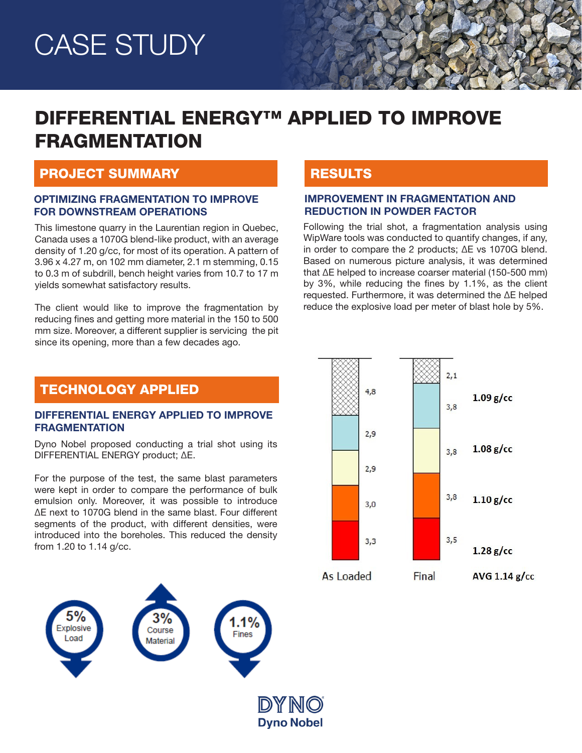# CASE STUDY

# DIFFERENTIAL ENERGY™ APPLIED TO IMPROVE FRAGMENTATION

### PROJECT SUMMARY

#### OPTIMIZING FRAGMENTATION TO IMPROVE FOR DOWNSTREAM OPERATIONS

This limestone quarry in the Laurentian region in Quebec, Canada uses a 1070G blend-like product, with an average density of 1.20 g/cc, for most of its operation. A pattern of 3.96 x 4.27 m, on 102 mm diameter, 2.1 m stemming, 0.15 to 0.3 m of subdrill, bench height varies from 10.7 to 17 m yields somewhat satisfactory results.

The client would like to improve the fragmentation by reducing fines and getting more material in the 150 to 500 mm size. Moreover, a different supplier is servicing the pit since its opening, more than a few decades ago.

# **RESULTS**

#### IMPROVEMENT IN FRAGMENTATION AND REDUCTION IN POWDER FACTOR

Following the trial shot, a fragmentation analysis using WipWare tools was conducted to quantify changes, if any, in order to compare the 2 products; ΔE vs 1070G blend. Based on numerous picture analysis, it was determined that ΔE helped to increase coarser material (150-500 mm) by 3%, while reducing the fines by 1.1%, as the client requested. Furthermore, it was determined the ΔE helped reduce the explosive load per meter of blast hole by 5%.

### TECHNOLOGY APPLIED

#### DIFFERENTIAL ENERGY APPLIED TO IMPROVE **FRAGMENTATION**

Dyno Nobel proposed conducting a trial shot using its DIFFERENTIAL ENERGY product; ΔE.

For the purpose of the test, the same blast parameters were kept in order to compare the performance of bulk emulsion only. Moreover, it was possible to introduce ΔE next to 1070G blend in the same blast. Four different segments of the product, with different densities, were introduced into the boreholes. This reduced the density from 1.20 to 1.14 g/cc.